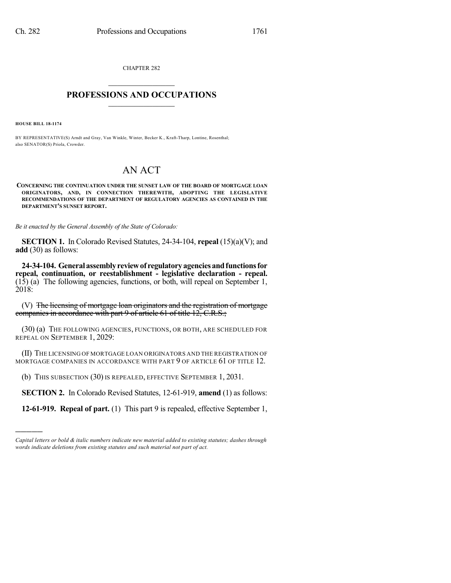CHAPTER 282  $\mathcal{L}_\text{max}$  . The set of the set of the set of the set of the set of the set of the set of the set of the set of the set of the set of the set of the set of the set of the set of the set of the set of the set of the set

## **PROFESSIONS AND OCCUPATIONS**  $\frac{1}{2}$  ,  $\frac{1}{2}$  ,  $\frac{1}{2}$  ,  $\frac{1}{2}$  ,  $\frac{1}{2}$  ,  $\frac{1}{2}$  ,  $\frac{1}{2}$

**HOUSE BILL 18-1174**

)))))

BY REPRESENTATIVE(S) Arndt and Gray, Van Winkle, Winter, Becker K., Kraft-Tharp, Lontine, Rosenthal; also SENATOR(S) Priola, Crowder.

## AN ACT

**CONCERNING THE CONTINUATION UNDER THE SUNSET LAW OF THE BOARD OF MORTGAGE LOAN ORIGINATORS, AND, IN CONNECTION THEREWITH, ADOPTING THE LEGISLATIVE RECOMMENDATIONS OF THE DEPARTMENT OF REGULATORY AGENCIES AS CONTAINED IN THE DEPARTMENT'S SUNSET REPORT.**

*Be it enacted by the General Assembly of the State of Colorado:*

**SECTION 1.** In Colorado Revised Statutes, 24-34-104, **repeal** (15)(a)(V); and **add** (30) as follows:

**24-34-104. Generalassemblyreviewof regulatoryagenciesandfunctionsfor repeal, continuation, or reestablishment - legislative declaration - repeal.** (15) (a) The following agencies, functions, or both, will repeal on September 1, 2018:

(V) The licensing of mortgage loan originators and the registration of mortgage companies in accordance with part 9 of article 61 of title 12, C.R.S.;

(30) (a) THE FOLLOWING AGENCIES, FUNCTIONS, OR BOTH, ARE SCHEDULED FOR REPEAL ON SEPTEMBER 1, 2029:

(II) THE LICENSING OF MORTGAGE LOAN ORIGINATORS AND THE REGISTRATION OF MORTGAGE COMPANIES IN ACCORDANCE WITH PART 9 OF ARTICLE 61 OF TITLE 12.

(b) THIS SUBSECTION (30) IS REPEALED, EFFECTIVE SEPTEMBER 1, 2031.

**SECTION 2.** In Colorado Revised Statutes, 12-61-919, **amend** (1) as follows:

**12-61-919. Repeal of part.** (1) This part 9 is repealed, effective September 1,

*Capital letters or bold & italic numbers indicate new material added to existing statutes; dashes through words indicate deletions from existing statutes and such material not part of act.*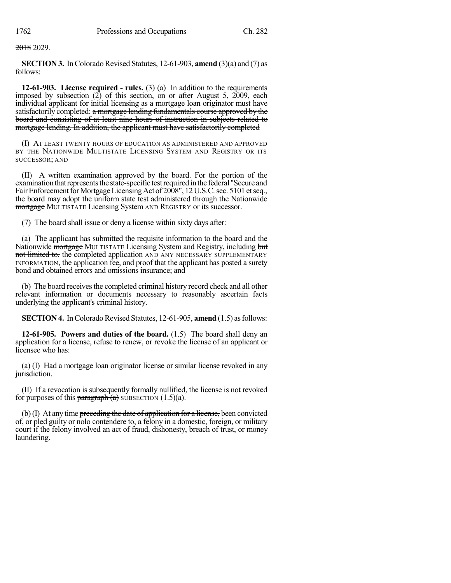2018 2029.

**SECTION 3.** In Colorado Revised Statutes,  $12-61-903$ , **amend**  $(3)(a)$  and  $(7)$  as follows:

**12-61-903. License required - rules.** (3) (a) In addition to the requirements imposed by subsection  $(2)$  of this section, on or after August 5, 2009, each individual applicant for initial licensing as a mortgage loan originator must have satisfactorily completed: a mortgage lending fundamentals course approved by the board and consisting of at least nine hours of instruction in subjects related to mortgage lending. In addition, the applicant must have satisfactorily completed

(I) AT LEAST TWENTY HOURS OF EDUCATION AS ADMINISTERED AND APPROVED BY THE NATIONWIDE MULTISTATE LICENSING SYSTEM AND REGISTRY OR ITS SUCCESSOR; AND

(II) A written examination approved by the board. For the portion of the examination that represents the state-specific test required in the federal "Secure and Fair Enforcement for Mortgage Licensing Act of 2008", 12 U.S.C. sec. 5101 et seq., the board may adopt the uniform state test administered through the Nationwide mortgage MULTISTATE Licensing System AND REGISTRY or its successor.

(7) The board shall issue or deny a license within sixty days after:

(a) The applicant has submitted the requisite information to the board and the Nationwide mortgage MULTISTATE Licensing System and Registry, including but not limited to, the completed application AND ANY NECESSARY SUPPLEMENTARY INFORMATION, the application fee, and proof that the applicant has posted a surety bond and obtained errors and omissions insurance; and

(b) The board receives the completed criminal history record check and all other relevant information or documents necessary to reasonably ascertain facts underlying the applicant's criminal history.

**SECTION 4.** In Colorado Revised Statutes, 12-61-905, **amend** (1.5) as follows:

**12-61-905. Powers and duties of the board.** (1.5) The board shall deny an application for a license, refuse to renew, or revoke the license of an applicant or licensee who has:

(a) (I) Had a mortgage loan originator license or similar license revoked in any jurisdiction.

(II) If a revocation is subsequently formally nullified, the license is not revoked for purposes of this paragraph  $(a)$  SUBSECTION  $(1.5)(a)$ .

 $(b)$  (I) At any time preceding the date of application for a license, been convicted of, or pled guilty or nolo contendere to, a felony in a domestic, foreign, or military court if the felony involved an act of fraud, dishonesty, breach of trust, or money laundering.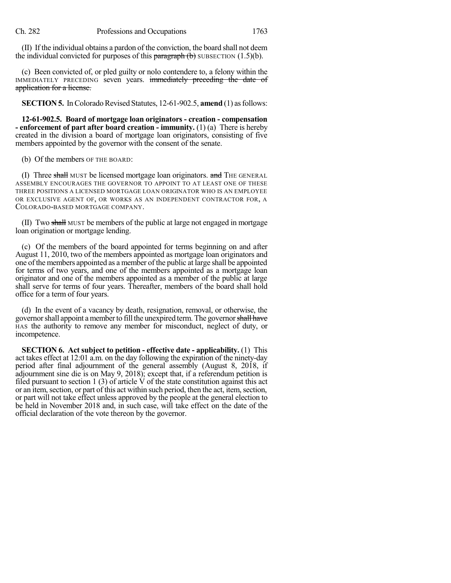(II) If the individual obtains a pardon of the conviction, the board shall not deem the individual convicted for purposes of this  $\frac{\bar{\theta}}{\bar{\theta}}$  subsection (1.5)(b).

(c) Been convicted of, or pled guilty or nolo contendere to, a felony within the IMMEDIATELY PRECEDING seven years. immediately preceding the date of application for a license.

**SECTION 5.** In Colorado Revised Statutes, 12-61-902.5, **amend** (1) as follows:

**12-61-902.5. Board of mortgage loan originators - creation - compensation - enforcement of part after board creation - immunity.** (1) (a) There is hereby created in the division a board of mortgage loan originators, consisting of five members appointed by the governor with the consent of the senate.

(b) Of the members OF THE BOARD:

(I) Three shall MUST be licensed mortgage loan originators. and THE GENERAL ASSEMBLY ENCOURAGES THE GOVERNOR TO APPOINT TO AT LEAST ONE OF THESE THREE POSITIONS A LICENSED MORTGAGE LOAN ORIGINATOR WHO IS AN EMPLOYEE OR EXCLUSIVE AGENT OF, OR WORKS AS AN INDEPENDENT CONTRACTOR FOR, A COLORADO-BASED MORTGAGE COMPANY.

(II) Two shall MUST be members of the public at large not engaged in mortgage loan origination or mortgage lending.

(c) Of the members of the board appointed for terms beginning on and after August 11, 2010, two of the members appointed as mortgage loan originators and one ofthe members appointed as a member of the public at large shall be appointed for terms of two years, and one of the members appointed as a mortgage loan originator and one of the members appointed as a member of the public at large shall serve for terms of four years. Thereafter, members of the board shall hold office for a term of four years.

(d) In the event of a vacancy by death, resignation, removal, or otherwise, the governor shall appoint a member to fill the unexpired term. The governor shall have HAS the authority to remove any member for misconduct, neglect of duty, or incompetence.

**SECTION 6. Act subject to petition - effective date - applicability.** (1) This act takes effect at 12:01 a.m. on the day following the expiration of the ninety-day period after final adjournment of the general assembly (August 8, 2018, if adjournment sine die is on May 9, 2018); except that, if a referendum petition is filed pursuant to section 1 (3) of article  $\acute{V}$  of the state constitution against this act or an item, section, or part of this act within such period, then the act, item, section, or part will not take effect unless approved by the people at the general election to be held in November 2018 and, in such case, will take effect on the date of the official declaration of the vote thereon by the governor.